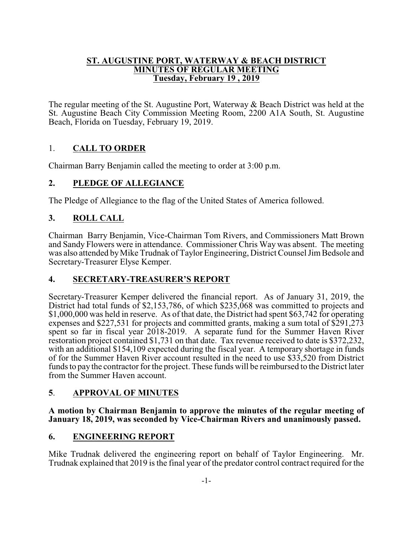#### **ST. AUGUSTINE PORT, WATERWAY & BEACH DISTRICT MINUTES OF REGULAR MEETING Tuesday, February 19 , 2019**

The regular meeting of the St. Augustine Port, Waterway & Beach District was held at the St. Augustine Beach City Commission Meeting Room, 2200 A1A South, St. Augustine Beach, Florida on Tuesday, February 19, 2019.

# 1. **CALL TO ORDER**

Chairman Barry Benjamin called the meeting to order at 3:00 p.m.

# **2. PLEDGE OF ALLEGIANCE**

The Pledge of Allegiance to the flag of the United States of America followed.

# **3. ROLL CALL**

Chairman Barry Benjamin, Vice-Chairman Tom Rivers, and Commissioners Matt Brown and Sandy Flowers were in attendance. Commissioner Chris Way was absent. The meeting was also attended byMike Trudnak of Taylor Engineering, District Counsel JimBedsole and Secretary-Treasurer Elyse Kemper.

# **4. SECRETARY-TREASURER'S REPORT**

Secretary-Treasurer Kemper delivered the financial report. As of January 31, 2019, the District had total funds of \$2,153,786, of which \$235,068 was committed to projects and \$1,000,000 was held in reserve. As of that date, the District had spent \$63,742 for operating expenses and \$227,531 for projects and committed grants, making a sum total of \$291,273 spent so far in fiscal year 2018-2019. A separate fund for the Summer Haven River restoration project contained \$1,731 on that date. Tax revenue received to date is \$372,232, with an additional \$154,109 expected during the fiscal year. A temporary shortage in funds of for the Summer Haven River account resulted in the need to use \$33,520 from District funds to pay the contractor for the project. These funds will be reimbursed to the District later from the Summer Haven account.

# **5**. **APPROVAL OF MINUTES**

#### **A motion by Chairman Benjamin to approve the minutes of the regular meeting of January 18, 2019, was seconded by Vice-Chairman Rivers and unanimously passed.**

# **6. ENGINEERING REPORT**

Mike Trudnak delivered the engineering report on behalf of Taylor Engineering. Mr. Trudnak explained that 2019 is the final year of the predator control contract required for the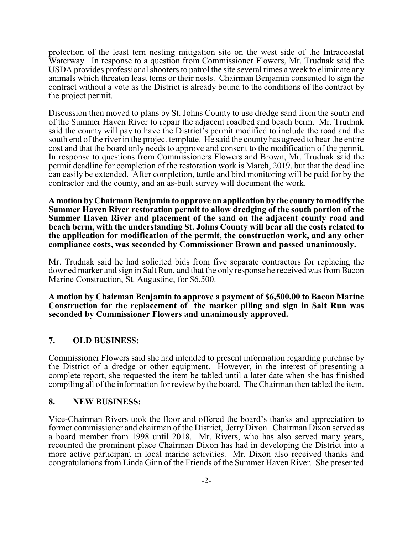protection of the least tern nesting mitigation site on the west side of the Intracoastal Waterway. In response to a question from Commissioner Flowers, Mr. Trudnak said the USDA provides professional shooters to patrol the site several times a week to eliminate any animals which threaten least terns or their nests. Chairman Benjamin consented to sign the contract without a vote as the District is already bound to the conditions of the contract by the project permit.

Discussion then moved to plans by St. Johns County to use dredge sand from the south end of the Summer Haven River to repair the adjacent roadbed and beach berm. Mr. Trudnak said the county will pay to have the District's permit modified to include the road and the south end of the river in the project template. He said the county has agreed to bear the entire cost and that the board only needs to approve and consent to the modification of the permit. In response to questions from Commissioners Flowers and Brown, Mr. Trudnak said the permit deadline for completion of the restoration work is March, 2019, but that the deadline can easily be extended. After completion, turtle and bird monitoring will be paid for by the contractor and the county, and an as-built survey will document the work.

**A motion by Chairman Benjamin to approve an application by the county to modify the Summer Haven River restoration permit to allow dredging of the south portion of the Summer Haven River and placement of the sand on the adjacent county road and beach berm, with the understanding St. Johns County will bear all the costs related to the application for modification of the permit, the construction work, and any other compliance costs, was seconded by Commissioner Brown and passed unanimously.**

Mr. Trudnak said he had solicited bids from five separate contractors for replacing the downed marker and sign in Salt Run, and that the only response he received was from Bacon Marine Construction, St. Augustine, for \$6,500.

**A motion by Chairman Benjamin to approve a payment of \$6,500.00 to Bacon Marine Construction for the replacement of the marker piling and sign in Salt Run was seconded by Commissioner Flowers and unanimously approved.**

### **7. OLD BUSINESS:**

Commissioner Flowers said she had intended to present information regarding purchase by the District of a dredge or other equipment. However, in the interest of presenting a complete report, she requested the item be tabled until a later date when she has finished compiling all of the information for review by the board. The Chairman then tabled the item.

### **8. NEW BUSINESS:**

Vice-Chairman Rivers took the floor and offered the board's thanks and appreciation to former commissioner and chairman of the District, Jerry Dixon. Chairman Dixon served as a board member from 1998 until 2018. Mr. Rivers, who has also served many years, recounted the prominent place Chairman Dixon has had in developing the District into a more active participant in local marine activities. Mr. Dixon also received thanks and congratulations from Linda Ginn of the Friends of the Summer Haven River. She presented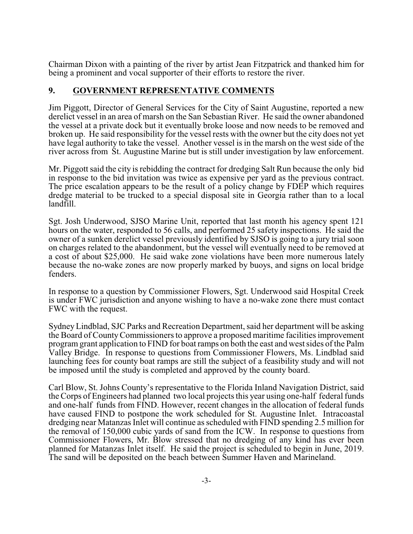Chairman Dixon with a painting of the river by artist Jean Fitzpatrick and thanked him for being a prominent and vocal supporter of their efforts to restore the river.

### **9. GOVERNMENT REPRESENTATIVE COMMENTS**

Jim Piggott, Director of General Services for the City of Saint Augustine, reported a new derelict vessel in an area of marsh on the San Sebastian River. He said the owner abandoned the vessel at a private dock but it eventually broke loose and now needs to be removed and broken up. He said responsibility for the vessel rests with the owner but the city does not yet have legal authority to take the vessel. Another vessel is in the marsh on the west side of the river across from St. Augustine Marine but is still under investigation by law enforcement.

Mr. Piggott said the city is rebidding the contract for dredging Salt Run because the only bid in response to the bid invitation was twice as expensive per yard as the previous contract. The price escalation appears to be the result of a policy change by FDEP which requires dredge material to be trucked to a special disposal site in Georgia rather than to a local landfill.

Sgt. Josh Underwood, SJSO Marine Unit, reported that last month his agency spent 121 hours on the water, responded to 56 calls, and performed 25 safety inspections. He said the owner of a sunken derelict vessel previously identified by SJSO is going to a jury trial soon on charges related to the abandonment, but the vessel will eventually need to be removed at a cost of about \$25,000. He said wake zone violations have been more numerous lately because the no-wake zones are now properly marked by buoys, and signs on local bridge fenders.

In response to a question by Commissioner Flowers, Sgt. Underwood said Hospital Creek is under FWC jurisdiction and anyone wishing to have a no-wake zone there must contact FWC with the request.

Sydney Lindblad, SJC Parks and Recreation Department, said her department will be asking the Board of CountyCommissioners to approve a proposed maritime facilities improvement program grant application to FIND for boat ramps on both the east and west sides of the Palm Valley Bridge. In response to questions from Commissioner Flowers, Ms. Lindblad said launching fees for county boat ramps are still the subject of a feasibility study and will not be imposed until the study is completed and approved by the county board.

Carl Blow, St. Johns County's representative to the Florida Inland Navigation District, said the Corps of Engineers had planned two local projects this year using one-half federal funds and one-half funds from FIND. However, recent changes in the allocation of federal funds have caused FIND to postpone the work scheduled for St. Augustine Inlet. Intracoastal dredging near Matanzas Inlet will continue as scheduled with FIND spending 2.5 million for the removal of 150,000 cubic yards of sand from the ICW. In response to questions from Commissioner Flowers, Mr. Blow stressed that no dredging of any kind has ever been planned for Matanzas Inlet itself. He said the project is scheduled to begin in June, 2019. The sand will be deposited on the beach between Summer Haven and Marineland.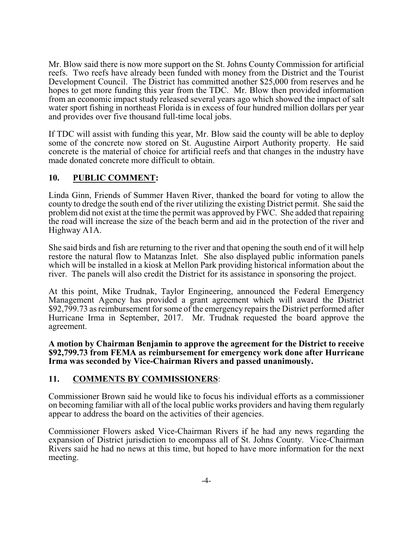Mr. Blow said there is now more support on the St. Johns County Commission for artificial reefs. Two reefs have already been funded with money from the District and the Tourist Development Council. The District has committed another \$25,000 from reserves and he hopes to get more funding this year from the TDC. Mr. Blow then provided information from an economic impact study released several years ago which showed the impact of salt water sport fishing in northeast Florida is in excess of four hundred million dollars per year and provides over five thousand full-time local jobs.

If TDC will assist with funding this year, Mr. Blow said the county will be able to deploy some of the concrete now stored on St. Augustine Airport Authority property. He said concrete is the material of choice for artificial reefs and that changes in the industry have made donated concrete more difficult to obtain.

### **10. PUBLIC COMMENT:**

Linda Ginn, Friends of Summer Haven River, thanked the board for voting to allow the county to dredge the south end of the river utilizing the existing District permit. She said the problem did not exist at the time the permit was approved by FWC. She added that repairing the road will increase the size of the beach berm and aid in the protection of the river and Highway A1A.

She said birds and fish are returning to the river and that opening the south end of it will help restore the natural flow to Matanzas Inlet. She also displayed public information panels which will be installed in a kiosk at Mellon Park providing historical information about the river. The panels will also credit the District for its assistance in sponsoring the project.

At this point, Mike Trudnak, Taylor Engineering, announced the Federal Emergency Management Agency has provided a grant agreement which will award the District \$92,799.73 as reimbursement for some of the emergency repairs the District performed after Hurricane Irma in September, 2017. Mr. Trudnak requested the board approve the agreement.

**A motion by Chairman Benjamin to approve the agreement for the District to receive \$92,799.73 from FEMA as reimbursement for emergency work done after Hurricane Irma was seconded by Vice-Chairman Rivers and passed unanimously.**

### **11. COMMENTS BY COMMISSIONERS**:

Commissioner Brown said he would like to focus his individual efforts as a commissioner on becoming familiar with all of the local public works providers and having them regularly appear to address the board on the activities of their agencies.

Commissioner Flowers asked Vice-Chairman Rivers if he had any news regarding the expansion of District jurisdiction to encompass all of St. Johns County. Vice-Chairman Rivers said he had no news at this time, but hoped to have more information for the next meeting.